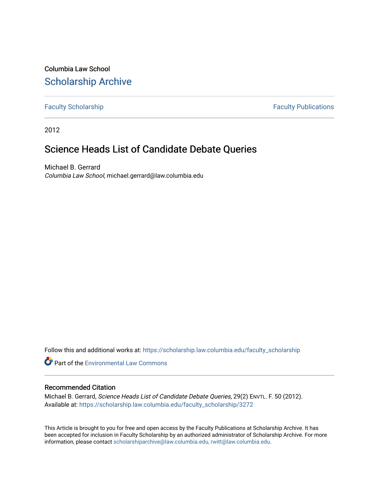Columbia Law School [Scholarship Archive](https://scholarship.law.columbia.edu/) 

[Faculty Scholarship](https://scholarship.law.columbia.edu/faculty_scholarship) **Faculty Scholarship Faculty Publications** 

2012

## Science Heads List of Candidate Debate Queries

Michael B. Gerrard Columbia Law School, michael.gerrard@law.columbia.edu

Follow this and additional works at: [https://scholarship.law.columbia.edu/faculty\\_scholarship](https://scholarship.law.columbia.edu/faculty_scholarship?utm_source=scholarship.law.columbia.edu%2Ffaculty_scholarship%2F3272&utm_medium=PDF&utm_campaign=PDFCoverPages)

**Part of the [Environmental Law Commons](http://network.bepress.com/hgg/discipline/599?utm_source=scholarship.law.columbia.edu%2Ffaculty_scholarship%2F3272&utm_medium=PDF&utm_campaign=PDFCoverPages)** 

## Recommended Citation

Michael B. Gerrard, Science Heads List of Candidate Debate Queries, 29(2) ENVTL. F. 50 (2012). Available at: [https://scholarship.law.columbia.edu/faculty\\_scholarship/3272](https://scholarship.law.columbia.edu/faculty_scholarship/3272?utm_source=scholarship.law.columbia.edu%2Ffaculty_scholarship%2F3272&utm_medium=PDF&utm_campaign=PDFCoverPages)

This Article is brought to you for free and open access by the Faculty Publications at Scholarship Archive. It has been accepted for inclusion in Faculty Scholarship by an authorized administrator of Scholarship Archive. For more information, please contact [scholarshiparchive@law.columbia.edu, rwitt@law.columbia.edu](mailto:scholarshiparchive@law.columbia.edu,%20rwitt@law.columbia.edu).